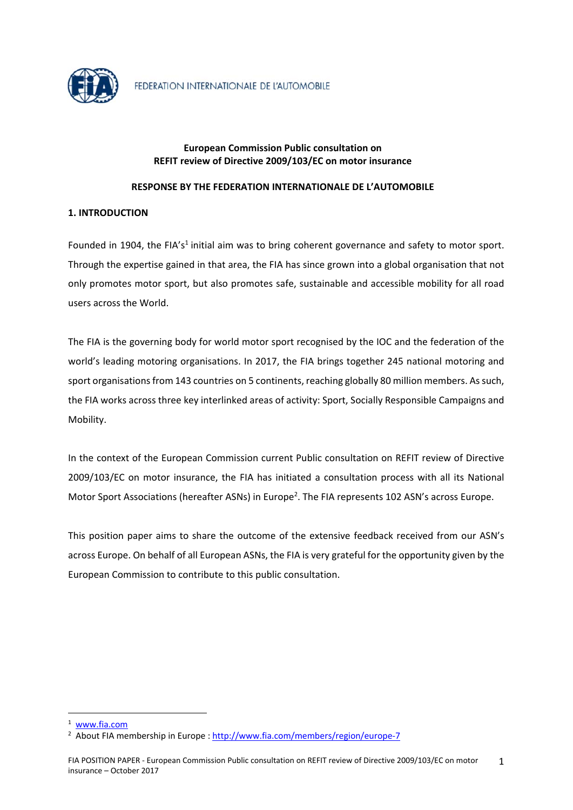

## **European Commission Public consultation on REFIT review of Directive 2009/103/EC on motor insurance**

## **RESPONSE BY THE FEDERATION INTERNATIONALE DE L'AUTOMOBILE**

## **1. INTRODUCTION**

Founded in 1904, the FIA's<sup>1</sup> initial aim was to bring coherent governance and safety to motor sport. Through the expertise gained in that area, the FIA has since grown into a global organisation that not only promotes motor sport, but also promotes safe, sustainable and accessible mobility for all road users across the World.

The FIA is the governing body for world motor sport recognised by the IOC and the federation of the world's leading motoring organisations. In 2017, the FIA brings together 245 national motoring and sport organisations from 143 countries on 5 continents, reaching globally 80 million members. As such, the FIA works across three key interlinked areas of activity: Sport, Socially Responsible Campaigns and Mobility.

In the context of the European Commission current Public consultation on REFIT review of Directive 2009/103/EC on motor insurance, the FIA has initiated a consultation process with all its National Motor Sport Associations (hereafter ASNs) in Europe<sup>2</sup>. The FIA represents 102 ASN's across Europe.

This position paper aims to share the outcome of the extensive feedback received from our ASN's across Europe. On behalf of all European ASNs, the FIA is very grateful for the opportunity given by the European Commission to contribute to this public consultation.

1

<sup>1</sup> www.fia.com

<sup>&</sup>lt;sup>2</sup> About FIA membership in Europe : http://www.fia.com/members/region/europe-7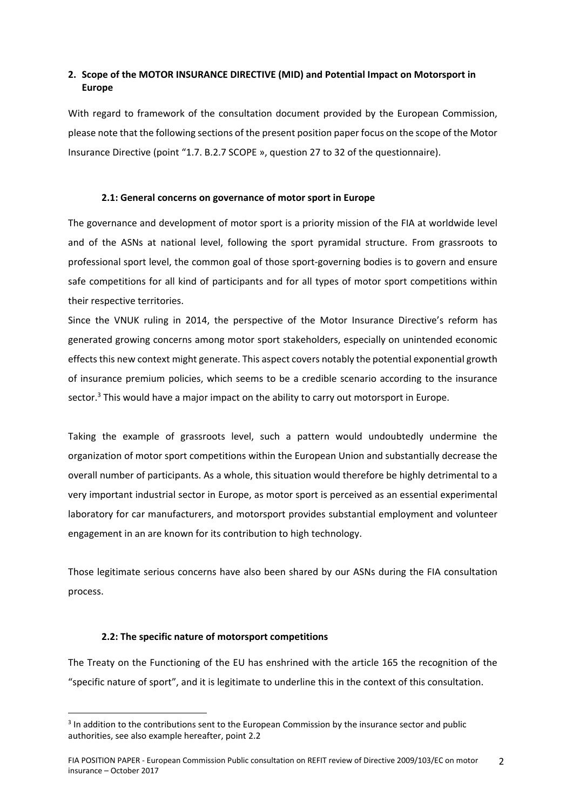# **2. Scope of the MOTOR INSURANCE DIRECTIVE (MID) and Potential Impact on Motorsport in Europe**

With regard to framework of the consultation document provided by the European Commission, please note that the following sections of the present position paper focus on the scope of the Motor Insurance Directive (point "1.7. B.2.7 SCOPE », question 27 to 32 of the questionnaire).

#### **2.1: General concerns on governance of motor sport in Europe**

The governance and development of motor sport is a priority mission of the FIA at worldwide level and of the ASNs at national level, following the sport pyramidal structure. From grassroots to professional sport level, the common goal of those sport‐governing bodies is to govern and ensure safe competitions for all kind of participants and for all types of motor sport competitions within their respective territories.

Since the VNUK ruling in 2014, the perspective of the Motor Insurance Directive's reform has generated growing concerns among motor sport stakeholders, especially on unintended economic effects this new context might generate. This aspect covers notably the potential exponential growth of insurance premium policies, which seems to be a credible scenario according to the insurance sector.<sup>3</sup> This would have a major impact on the ability to carry out motorsport in Europe.

Taking the example of grassroots level, such a pattern would undoubtedly undermine the organization of motor sport competitions within the European Union and substantially decrease the overall number of participants. As a whole, this situation would therefore be highly detrimental to a very important industrial sector in Europe, as motor sport is perceived as an essential experimental laboratory for car manufacturers, and motorsport provides substantial employment and volunteer engagement in an are known for its contribution to high technology.

Those legitimate serious concerns have also been shared by our ASNs during the FIA consultation process.

### **2.2: The specific nature of motorsport competitions**

1

The Treaty on the Functioning of the EU has enshrined with the article 165 the recognition of the "specific nature of sport", and it is legitimate to underline this in the context of this consultation.

<sup>&</sup>lt;sup>3</sup> In addition to the contributions sent to the European Commission by the insurance sector and public authorities, see also example hereafter, point 2.2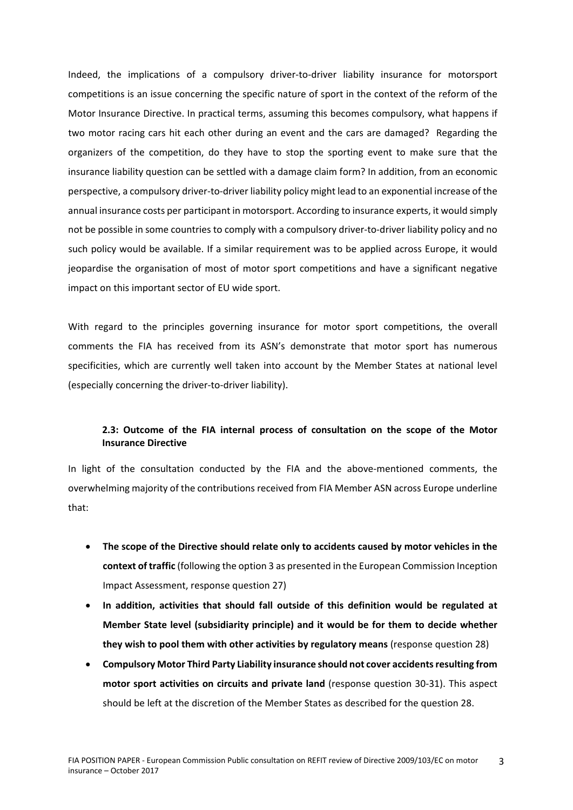Indeed, the implications of a compulsory driver‐to‐driver liability insurance for motorsport competitions is an issue concerning the specific nature of sport in the context of the reform of the Motor Insurance Directive. In practical terms, assuming this becomes compulsory, what happens if two motor racing cars hit each other during an event and the cars are damaged? Regarding the organizers of the competition, do they have to stop the sporting event to make sure that the insurance liability question can be settled with a damage claim form? In addition, from an economic perspective, a compulsory driver‐to‐driver liability policy might lead to an exponential increase of the annual insurance costs per participant in motorsport. According to insurance experts, it would simply not be possible in some countries to comply with a compulsory driver-to-driver liability policy and no such policy would be available. If a similar requirement was to be applied across Europe, it would jeopardise the organisation of most of motor sport competitions and have a significant negative impact on this important sector of EU wide sport.

With regard to the principles governing insurance for motor sport competitions, the overall comments the FIA has received from its ASN's demonstrate that motor sport has numerous specificities, which are currently well taken into account by the Member States at national level (especially concerning the driver‐to‐driver liability).

## **2.3: Outcome of the FIA internal process of consultation on the scope of the Motor Insurance Directive**

In light of the consultation conducted by the FIA and the above-mentioned comments, the overwhelming majority of the contributions received from FIA Member ASN across Europe underline that:

- **The scope of the Directive should relate only to accidents caused by motor vehicles in the context of traffic** (following the option 3 as presented in the European Commission Inception Impact Assessment, response question 27)
- **In addition, activities that should fall outside of this definition would be regulated at Member State level (subsidiarity principle) and it would be for them to decide whether they wish to pool them with other activities by regulatory means** (response question 28)
- **Compulsory Motor Third Party Liability insurance should not cover accidentsresulting from motor sport activities on circuits and private land** (response question 30‐31). This aspect should be left at the discretion of the Member States as described for the question 28.